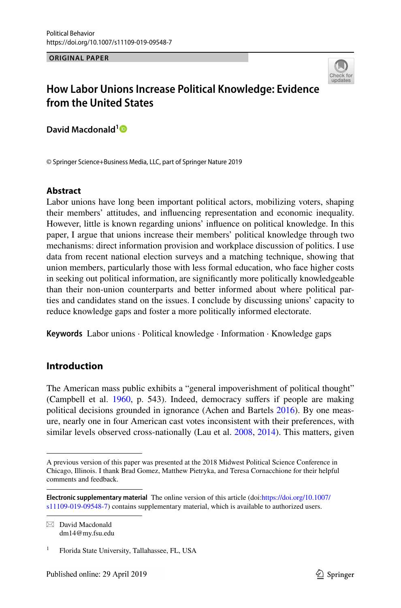**ORIGINAL PAPER**



# **How Labor Unions Increase Political Knowledge: Evidence from the United States**

**David Macdonald[1](http://orcid.org/0000-0002-8820-6067)**

© Springer Science+Business Media, LLC, part of Springer Nature 2019

### **Abstract**

Labor unions have long been important political actors, mobilizing voters, shaping their members' attitudes, and infuencing representation and economic inequality. However, little is known regarding unions' infuence on political knowledge. In this paper, I argue that unions increase their members' political knowledge through two mechanisms: direct information provision and workplace discussion of politics. I use data from recent national election surveys and a matching technique, showing that union members, particularly those with less formal education, who face higher costs in seeking out political information, are signifcantly more politically knowledgeable than their non-union counterparts and better informed about where political parties and candidates stand on the issues. I conclude by discussing unions' capacity to reduce knowledge gaps and foster a more politically informed electorate.

**Keywords** Labor unions · Political knowledge · Information · Knowledge gaps

# **Introduction**

The American mass public exhibits a "general impoverishment of political thought" (Campbell et al. [1960](#page-20-0), p. 543). Indeed, democracy sufers if people are making political decisions grounded in ignorance (Achen and Bartels [2016](#page-19-0)). By one measure, nearly one in four American cast votes inconsistent with their preferences, with similar levels observed cross-nationally (Lau et al. [2008,](#page-21-0) [2014](#page-22-0)). This matters, given

 $\boxtimes$  David Macdonald dm14@my.fsu.edu

A previous version of this paper was presented at the 2018 Midwest Political Science Conference in Chicago, Illinois. I thank Brad Gomez, Matthew Pietryka, and Teresa Cornacchione for their helpful comments and feedback.

**Electronic supplementary material** The online version of this article (doi:[https://doi.org/10.1007/](https://doi.org/10.1007/s11109-019-09548-7) [s11109-019-09548-7](https://doi.org/10.1007/s11109-019-09548-7)) contains supplementary material, which is available to authorized users.

<sup>1</sup> Florida State University, Tallahassee, FL, USA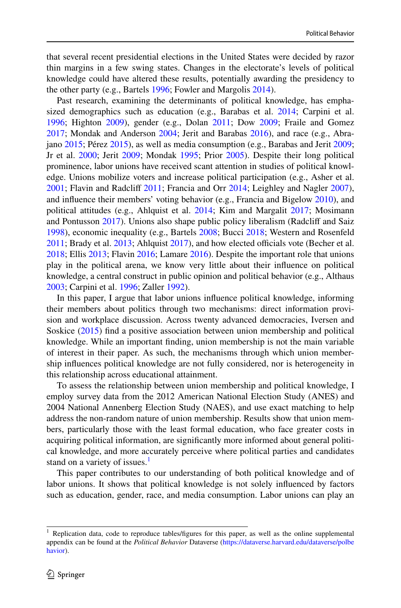that several recent presidential elections in the United States were decided by razor thin margins in a few swing states. Changes in the electorate's levels of political knowledge could have altered these results, potentially awarding the presidency to the other party (e.g., Bartels [1996;](#page-20-1) Fowler and Margolis [2014\)](#page-20-2).

Past research, examining the determinants of political knowledge, has empha-sized demographics such as education (e.g., Barabas et al. [2014](#page-20-3); Carpini et al. [1996](#page-20-4); Highton [2009](#page-21-1)), gender (e.g., Dolan [2011;](#page-20-5) Dow [2009;](#page-20-6) Fraile and Gomez [2017](#page-21-2); Mondak and Anderson [2004](#page-22-1); Jerit and Barabas [2016](#page-21-3)), and race (e.g., Abrajano [2015;](#page-19-1) Pérez [2015\)](#page-22-2), as well as media consumption (e.g., Barabas and Jerit [2009;](#page-20-7) Jr et al. [2000](#page-21-4); Jerit [2009;](#page-21-5) Mondak [1995](#page-22-3); Prior [2005\)](#page-22-4). Despite their long political prominence, labor unions have received scant attention in studies of political knowledge. Unions mobilize voters and increase political participation (e.g., Asher et al. [2001](#page-20-8); Flavin and Radcliff [2011;](#page-20-9) Francia and Orr [2014;](#page-21-6) Leighley and Nagler [2007\)](#page-22-5), and infuence their members' voting behavior (e.g., Francia and Bigelow [2010](#page-21-7)), and political attitudes (e.g., Ahlquist et al. [2014](#page-19-2); Kim and Margalit [2017;](#page-21-8) Mosimann and Pontusson  $2017$ ). Unions also shape public policy liberalism (Radcliff and Saiz [1998](#page-22-7)), economic inequality (e.g., Bartels [2008](#page-20-10); Bucci [2018](#page-20-11); Western and Rosenfeld  $2011$ ; Brady et al.  $2013$ ; Ahlquist  $2017$ ), and how elected officials vote (Becher et al. [2018](#page-20-13); Ellis [2013](#page-20-14); Flavin [2016](#page-20-15); Lamare [2016](#page-21-9)). Despite the important role that unions play in the political arena, we know very little about their infuence on political knowledge, a central construct in public opinion and political behavior (e.g., Althaus [2003](#page-20-16); Carpini et al. [1996;](#page-20-4) Zaller [1992\)](#page-23-1).

In this paper, I argue that labor unions infuence political knowledge, informing their members about politics through two mechanisms: direct information provision and workplace discussion. Across twenty advanced democracies, Iversen and Soskice ([2015\)](#page-21-10) fnd a positive association between union membership and political knowledge. While an important fnding, union membership is not the main variable of interest in their paper. As such, the mechanisms through which union membership infuences political knowledge are not fully considered, nor is heterogeneity in this relationship across educational attainment.

To assess the relationship between union membership and political knowledge, I employ survey data from the 2012 American National Election Study (ANES) and 2004 National Annenberg Election Study (NAES), and use exact matching to help address the non-random nature of union membership. Results show that union members, particularly those with the least formal education, who face greater costs in acquiring political information, are signifcantly more informed about general political knowledge, and more accurately perceive where political parties and candidates stand on a variety of issues.<sup>1</sup>

This paper contributes to our understanding of both political knowledge and of labor unions. It shows that political knowledge is not solely infuenced by factors such as education, gender, race, and media consumption. Labor unions can play an

<span id="page-1-0"></span><sup>&</sup>lt;sup>1</sup> Replication data, code to reproduce tables/figures for this paper, as well as the online supplemental appendix can be found at the *Political Behavior* Dataverse [\(https://dataverse.harvard.edu/dataverse/polbe](https://dataverse.harvard.edu/dataverse/polbehavior) [havior](https://dataverse.harvard.edu/dataverse/polbehavior)).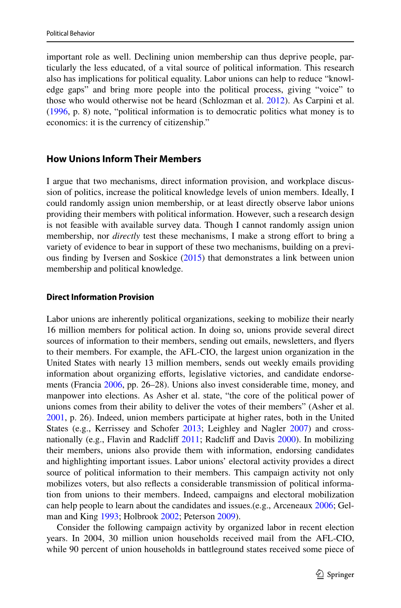important role as well. Declining union membership can thus deprive people, particularly the less educated, of a vital source of political information. This research also has implications for political equality. Labor unions can help to reduce "knowledge gaps" and bring more people into the political process, giving "voice" to those who would otherwise not be heard (Schlozman et al. [2012](#page-22-8)). As Carpini et al. [\(1996](#page-20-4), p. 8) note, "political information is to democratic politics what money is to economics: it is the currency of citizenship."

# **How Unions Inform Their Members**

I argue that two mechanisms, direct information provision, and workplace discussion of politics, increase the political knowledge levels of union members. Ideally, I could randomly assign union membership, or at least directly observe labor unions providing their members with political information. However, such a research design is not feasible with available survey data. Though I cannot randomly assign union membership, nor *directly* test these mechanisms, I make a strong efort to bring a variety of evidence to bear in support of these two mechanisms, building on a previous fnding by Iversen and Soskice [\(2015](#page-21-10)) that demonstrates a link between union membership and political knowledge.

#### **Direct Information Provision**

Labor unions are inherently political organizations, seeking to mobilize their nearly 16 million members for political action. In doing so, unions provide several direct sources of information to their members, sending out emails, newsletters, and fyers to their members. For example, the AFL-CIO, the largest union organization in the United States with nearly 13 million members, sends out weekly emails providing information about organizing efforts, legislative victories, and candidate endorsements (Francia [2006](#page-21-11), pp. 26–28). Unions also invest considerable time, money, and manpower into elections. As Asher et al. state, "the core of the political power of unions comes from their ability to deliver the votes of their members" (Asher et al. [2001](#page-20-8), p. 26). Indeed, union members participate at higher rates, both in the United States (e.g., Kerrissey and Schofer [2013;](#page-21-12) Leighley and Nagler [2007\)](#page-22-5) and crossnationally (e.g., Flavin and Radcliff  $2011$ ; Radcliff and Davis  $2000$ ). In mobilizing their members, unions also provide them with information, endorsing candidates and highlighting important issues. Labor unions' electoral activity provides a direct source of political information to their members. This campaign activity not only mobilizes voters, but also refects a considerable transmission of political information from unions to their members. Indeed, campaigns and electoral mobilization can help people to learn about the candidates and issues.(e.g., Arceneaux [2006](#page-20-17); Gelman and King [1993](#page-21-13); Holbrook [2002](#page-21-14); Peterson [2009](#page-22-10)).

Consider the following campaign activity by organized labor in recent election years. In 2004, 30 million union households received mail from the AFL-CIO, while 90 percent of union households in battleground states received some piece of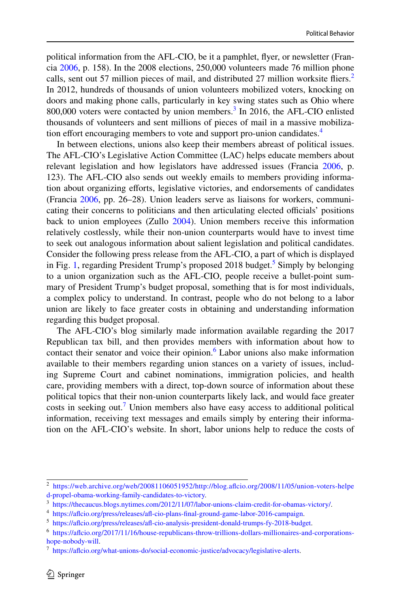political information from the AFL-CIO, be it a pamphlet, fyer, or newsletter (Francia [2006,](#page-21-11) p. 158). In the 2008 elections, 250,000 volunteers made 76 million phone calls, sent out 57 million pieces of mail, and distributed [2](#page-3-0)7 million worksite fliers.<sup>2</sup> In 2012, hundreds of thousands of union volunteers mobilized voters, knocking on doors and making phone calls, particularly in key swing states such as Ohio where  $800,000$  voters were contacted by union members.<sup>[3](#page-3-1)</sup> In 2016, the AFL-CIO enlisted thousands of volunteers and sent millions of pieces of mail in a massive mobilization effort encouraging members to vote and support pro-union candidates.<sup>4</sup>

In between elections, unions also keep their members abreast of political issues. The AFL-CIO's Legislative Action Committee (LAC) helps educate members about relevant legislation and how legislators have addressed issues (Francia [2006,](#page-21-11) p. 123). The AFL-CIO also sends out weekly emails to members providing information about organizing efforts, legislative victories, and endorsements of candidates (Francia [2006,](#page-21-11) pp. 26–28). Union leaders serve as liaisons for workers, communicating their concerns to politicians and then articulating elected officials' positions back to union employees (Zullo [2004](#page-23-2)). Union members receive this information relatively costlessly, while their non-union counterparts would have to invest time to seek out analogous information about salient legislation and political candidates. Consider the following press release from the AFL-CIO, a part of which is displayed in Fig. [1,](#page-4-0) regarding President Trump's proposed 2018 budget.<sup>[5](#page-3-3)</sup> Simply by belonging to a union organization such as the AFL-CIO, people receive a bullet-point summary of President Trump's budget proposal, something that is for most individuals, a complex policy to understand. In contrast, people who do not belong to a labor union are likely to face greater costs in obtaining and understanding information regarding this budget proposal.

The AFL-CIO's blog similarly made information available regarding the 2017 Republican tax bill, and then provides members with information about how to contact their senator and voice their opinion.<sup>[6](#page-3-4)</sup> Labor unions also make information available to their members regarding union stances on a variety of issues, including Supreme Court and cabinet nominations, immigration policies, and health care, providing members with a direct, top-down source of information about these political topics that their non-union counterparts likely lack, and would face greater costs in seeking out.<sup>[7](#page-3-5)</sup> Union members also have easy access to additional political information, receiving text messages and emails simply by entering their information on the AFL-CIO's website. In short, labor unions help to reduce the costs of

<span id="page-3-0"></span><sup>2</sup> [https://web.archive.org/web/20081106051952/http://blog.afcio.org/2008/11/05/union-voters-helpe](https://web.archive.org/web/20081106051952/http://blog.aflcio.org/2008/11/05/union-voters-helped-propel-obama-working-family-candidates-to-victory) [d-propel-obama-working-family-candidates-to-victory](https://web.archive.org/web/20081106051952/http://blog.aflcio.org/2008/11/05/union-voters-helped-propel-obama-working-family-candidates-to-victory).

<span id="page-3-1"></span><sup>3</sup> [https://thecaucus.blogs.nytimes.com/2012/11/07/labor-unions-claim-credit-for-obamas-victory/.](https://thecaucus.blogs.nytimes.com/2012/11/07/labor-unions-claim-credit-for-obamas-victory/)

<span id="page-3-2"></span><sup>4</sup> [https://afcio.org/press/releases/af-cio-plans-fnal-ground-game-labor-2016-campaign](https://aflcio.org/press/releases/afl-cio-plans-final-ground-game-labor-2016-campaign).

<span id="page-3-3"></span><sup>5</sup> [https://afcio.org/press/releases/af-cio-analysis-president-donald-trumps-fy-2018-budget.](https://aflcio.org/press/releases/afl-cio-analysis-president-donald-trumps-fy-2018-budget)

<span id="page-3-4"></span><sup>6</sup> [https://afcio.org/2017/11/16/house-republicans-throw-trillions-dollars-millionaires-and-corporations](https://aflcio.org/2017/11/16/house-republicans-throw-trillions-dollars-millionaires-and-corporations-hope-nobody-will)[hope-nobody-will](https://aflcio.org/2017/11/16/house-republicans-throw-trillions-dollars-millionaires-and-corporations-hope-nobody-will).

<span id="page-3-5"></span><sup>7</sup> [https://afcio.org/what-unions-do/social-economic-justice/advocacy/legislative-alerts](https://aflcio.org/what-unions-do/social-economic-justice/advocacy/legislative-alerts).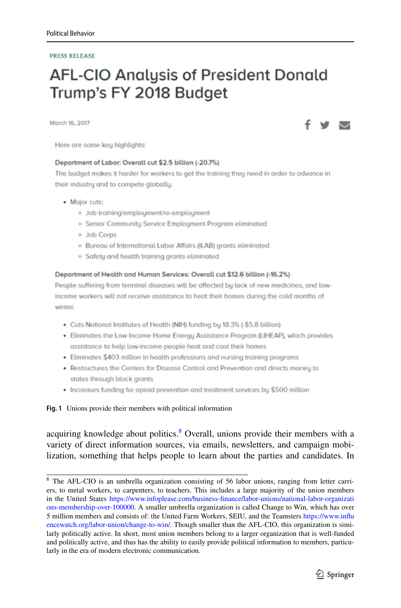#### **PRESS RELEASE**

# **AFL-CIO Analysis of President Donald** Trump's FY 2018 Budget

March 16, 2017

Here are some key highlights:

#### Department of Labor: Overall cut \$2.5 billion (-20.7%)

The budget makes it harder for workers to get the training they need in order to advance in their industry and to compete globally.

- Major cuts:
	- · Job training/employment/re-employment
	- · Senior Community Service Employment Program eliminated
	- o Job Corps
	- · Bureau of International Labor Affairs (ILAB) grants eliminated
	- · Safety and health training grants eliminated

#### Department of Health and Human Services: Overall cut \$12.6 billion (-16.2%)

People suffering from terminal diseases will be affected by lack of new medicines, and lowincome workers will not receive assistance to heat their homes during the cold months of winter.

- Cuts National Institutes of Health (NIH) funding by 18.3% (-\$5.8 billion)
- Eliminates the Low Income Home Energy Assistance Program (LIHEAP), which provides assistance to help low-income people heat and cool their homes
- Eliminates \$403 million in health professions and nursing training programs
- Restructures the Centers for Disease Control and Prevention and directs money to states through block grants
- Increases funding for opioid prevention and treatment services by \$500 million

<span id="page-4-0"></span>**Fig. 1** Unions provide their members with political information

acquiring knowledge about politics.<sup>[8](#page-4-1)</sup> Overall, unions provide their members with a variety of direct information sources, via emails, newsletters, and campaign mobilization, something that helps people to learn about the parties and candidates. In

<span id="page-4-1"></span><sup>8</sup> The AFL-CIO is an umbrella organization consisting of 56 labor unions, ranging from letter carriers, to metal workers, to carpenters, to teachers. This includes a large majority of the union members in the United States [https://www.infoplease.com/business-fnance/labor-unions/national-labor-organizati](https://www.infoplease.com/business-finance/labor-unions/national-labor-organizations-membership-over-100000) [ons-membership-over-100000](https://www.infoplease.com/business-finance/labor-unions/national-labor-organizations-membership-over-100000). A smaller umbrella organization is called Change to Win, which has over 5 million members and consists of: the United Farm Workers, SEIU, and the Teamsters [https://www.infu](https://www.influencewatch.org/labor-union/change-to-win/) [encewatch.org/labor-union/change-to-win/.](https://www.influencewatch.org/labor-union/change-to-win/) Though smaller than the AFL-CIO, this organization is similarly politically active. In short, most union members belong to a larger organization that is well-funded and politically active, and thus has the ability to easily provide political information to members, particularly in the era of modern electronic communication.



M N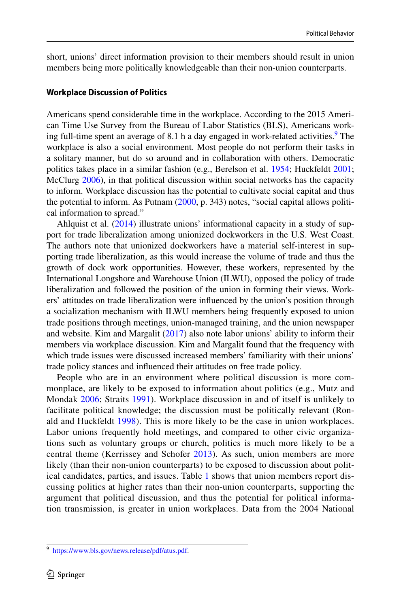short, unions' direct information provision to their members should result in union members being more politically knowledgeable than their non-union counterparts.

#### **Workplace Discussion of Politics**

Americans spend considerable time in the workplace. According to the 2015 American Time Use Survey from the Bureau of Labor Statistics (BLS), Americans work-ing full-time spent an average of 8.1 h a day engaged in work-related activities.<sup>[9](#page-5-0)</sup> The workplace is also a social environment. Most people do not perform their tasks in a solitary manner, but do so around and in collaboration with others. Democratic politics takes place in a similar fashion (e.g., Berelson et al. [1954](#page-20-18); Huckfeldt [2001;](#page-21-15) McClurg [2006](#page-22-11)), in that political discussion within social networks has the capacity to inform. Workplace discussion has the potential to cultivate social capital and thus the potential to inform. As Putnam [\(2000](#page-22-12), p. 343) notes, "social capital allows political information to spread."

Ahlquist et al. ([2014\)](#page-19-2) illustrate unions' informational capacity in a study of support for trade liberalization among unionized dockworkers in the U.S. West Coast. The authors note that unionized dockworkers have a material self-interest in supporting trade liberalization, as this would increase the volume of trade and thus the growth of dock work opportunities. However, these workers, represented by the International Longshore and Warehouse Union (ILWU), opposed the policy of trade liberalization and followed the position of the union in forming their views. Workers' attitudes on trade liberalization were infuenced by the union's position through a socialization mechanism with ILWU members being frequently exposed to union trade positions through meetings, union-managed training, and the union newspaper and website. Kim and Margalit [\(2017](#page-21-8)) also note labor unions' ability to inform their members via workplace discussion. Kim and Margalit found that the frequency with which trade issues were discussed increased members' familiarity with their unions' trade policy stances and infuenced their attitudes on free trade policy.

People who are in an environment where political discussion is more commonplace, are likely to be exposed to information about politics (e.g., Mutz and Mondak [2006;](#page-22-13) Straits [1991](#page-23-3)). Workplace discussion in and of itself is unlikely to facilitate political knowledge; the discussion must be politically relevant (Ronald and Huckfeldt [1998](#page-22-14)). This is more likely to be the case in union workplaces. Labor unions frequently hold meetings, and compared to other civic organizations such as voluntary groups or church, politics is much more likely to be a central theme (Kerrissey and Schofer [2013\)](#page-21-12). As such, union members are more likely (than their non-union counterparts) to be exposed to discussion about political candidates, parties, and issues. Table [1](#page-7-0) shows that union members report discussing politics at higher rates than their non-union counterparts, supporting the argument that political discussion, and thus the potential for political information transmission, is greater in union workplaces. Data from the 2004 National

<span id="page-5-0"></span><sup>9</sup> <https://www.bls.gov/news.release/pdf/atus.pdf>.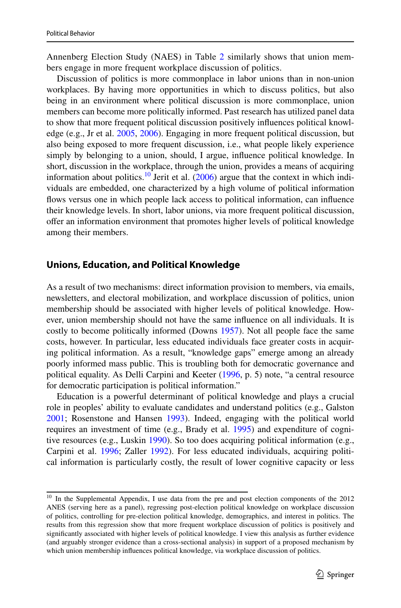Annenberg Election Study (NAES) in Table [2](#page-7-1) similarly shows that union members engage in more frequent workplace discussion of politics.

Discussion of politics is more commonplace in labor unions than in non-union workplaces. By having more opportunities in which to discuss politics, but also being in an environment where political discussion is more commonplace, union members can become more politically informed. Past research has utilized panel data to show that more frequent political discussion positively infuences political knowledge (e.g., Jr et al. [2005](#page-21-16), [2006](#page-21-17)). Engaging in more frequent political discussion, but also being exposed to more frequent discussion, i.e., what people likely experience simply by belonging to a union, should, I argue, infuence political knowledge. In short, discussion in the workplace, through the union, provides a means of acquiring information about politics.<sup>10</sup> Jerit et al.  $(2006)$  $(2006)$  argue that the context in which individuals are embedded, one characterized by a high volume of political information fows versus one in which people lack access to political information, can infuence their knowledge levels. In short, labor unions, via more frequent political discussion, ofer an information environment that promotes higher levels of political knowledge among their members.

#### **Unions, Education, and Political Knowledge**

As a result of two mechanisms: direct information provision to members, via emails, newsletters, and electoral mobilization, and workplace discussion of politics, union membership should be associated with higher levels of political knowledge. However, union membership should not have the same infuence on all individuals. It is costly to become politically informed (Downs [1957\)](#page-20-19). Not all people face the same costs, however. In particular, less educated individuals face greater costs in acquiring political information. As a result, "knowledge gaps" emerge among an already poorly informed mass public. This is troubling both for democratic governance and political equality. As Delli Carpini and Keeter [\(1996](#page-20-4), p. 5) note, "a central resource for democratic participation is political information."

Education is a powerful determinant of political knowledge and plays a crucial role in peoples' ability to evaluate candidates and understand politics (e.g., Galston [2001](#page-21-19); Rosenstone and Hansen [1993\)](#page-22-15). Indeed, engaging with the political world requires an investment of time (e.g., Brady et al. [1995](#page-20-20)) and expenditure of cognitive resources (e.g., Luskin [1990\)](#page-22-16). So too does acquiring political information (e.g., Carpini et al. [1996](#page-20-4); Zaller [1992\)](#page-23-1). For less educated individuals, acquiring political information is particularly costly, the result of lower cognitive capacity or less

<span id="page-6-0"></span><sup>&</sup>lt;sup>10</sup> In the Supplemental Appendix, I use data from the pre and post election components of the 2012 ANES (serving here as a panel), regressing post-election political knowledge on workplace discussion of politics, controlling for pre-election political knowledge, demographics, and interest in politics. The results from this regression show that more frequent workplace discussion of politics is positively and signifcantly associated with higher levels of political knowledge. I view this analysis as further evidence (and arguably stronger evidence than a cross-sectional analysis) in support of a proposed mechanism by which union membership infuences political knowledge, via workplace discussion of politics.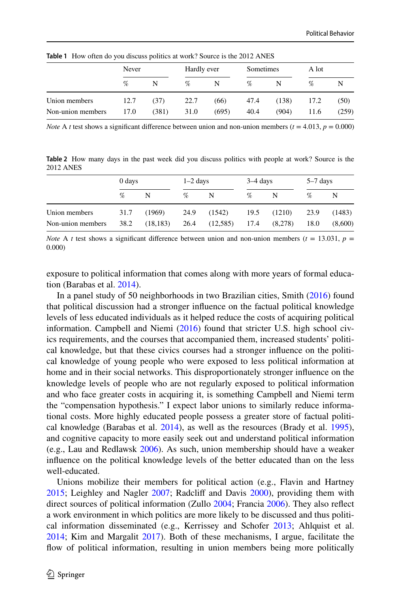|                   | Never |       | Hardly ever |       | Sometimes<br>A lot |       |      |       |  |
|-------------------|-------|-------|-------------|-------|--------------------|-------|------|-------|--|
|                   | $\%$  | N     | %           | N     | %                  |       | $\%$ |       |  |
| Union members     | 12.7  | (37)  | 22.7        | (66)  | 47.4               | (138) | 17.2 | (50)  |  |
| Non-union members | 17.0  | (381) | 31.0        | (695) | 40.4               | (904) | 11.6 | (259) |  |

<span id="page-7-0"></span>**Table 1** How often do you discuss politics at work? Source is the 2012 ANES

*Note* A *t* test shows a significant difference between union and non-union members ( $t = 4.013$ ,  $p = 0.000$ )

<span id="page-7-1"></span>**Table 2** How many days in the past week did you discuss politics with people at work? Source is the 2012 ANES

|                   | 0 days |           | $1-2$ days |          | $3-4$ days |         | $5-7$ days |         |  |
|-------------------|--------|-----------|------------|----------|------------|---------|------------|---------|--|
|                   | %      | N         | %          | N        | %          | N       | %          | N       |  |
| Union members     | 31.7   | (1969)    | 24.9       | (1542)   | 19.5       | (1210)  | 23.9       | (1483)  |  |
| Non-union members | 38.2   | (18, 183) | 26.4       | (12,585) | 17.4       | (8,278) | 18.0       | (8,600) |  |

*Note* A *t* test shows a significant difference between union and non-union members ( $t = 13.031$ ,  $p =$ 0.000)

exposure to political information that comes along with more years of formal education (Barabas et al. [2014\)](#page-20-3).

In a panel study of 50 neighborhoods in two Brazilian cities, Smith [\(2016](#page-22-17)) found that political discussion had a stronger infuence on the factual political knowledge levels of less educated individuals as it helped reduce the costs of acquiring political information. Campbell and Niemi ([2016\)](#page-20-21) found that stricter U.S. high school civics requirements, and the courses that accompanied them, increased students' political knowledge, but that these civics courses had a stronger infuence on the political knowledge of young people who were exposed to less political information at home and in their social networks. This disproportionately stronger infuence on the knowledge levels of people who are not regularly exposed to political information and who face greater costs in acquiring it, is something Campbell and Niemi term the "compensation hypothesis." I expect labor unions to similarly reduce informational costs. More highly educated people possess a greater store of factual political knowledge (Barabas et al. [2014](#page-20-3)), as well as the resources (Brady et al. [1995\)](#page-20-20), and cognitive capacity to more easily seek out and understand political information (e.g., Lau and Redlawsk [2006\)](#page-22-18). As such, union membership should have a weaker infuence on the political knowledge levels of the better educated than on the less well-educated.

Unions mobilize their members for political action (e.g., Flavin and Hartney [2015](#page-20-22); Leighley and Nagler [2007](#page-22-5); Radclif and Davis [2000](#page-22-9)), providing them with direct sources of political information (Zullo [2004](#page-23-2); Francia [2006\)](#page-21-11). They also refect a work environment in which politics are more likely to be discussed and thus political information disseminated (e.g., Kerrissey and Schofer [2013;](#page-21-12) Ahlquist et al. [2014](#page-19-2); Kim and Margalit [2017\)](#page-21-8). Both of these mechanisms, I argue, facilitate the flow of political information, resulting in union members being more politically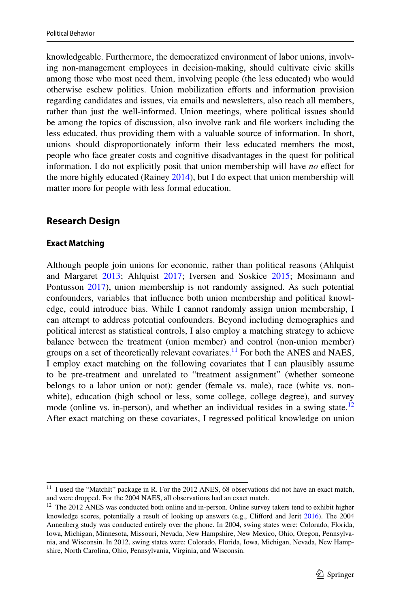knowledgeable. Furthermore, the democratized environment of labor unions, involving non-management employees in decision-making, should cultivate civic skills among those who most need them, involving people (the less educated) who would otherwise eschew politics. Union mobilization eforts and information provision regarding candidates and issues, via emails and newsletters, also reach all members, rather than just the well-informed. Union meetings, where political issues should be among the topics of discussion, also involve rank and fle workers including the less educated, thus providing them with a valuable source of information. In short, unions should disproportionately inform their less educated members the most, people who face greater costs and cognitive disadvantages in the quest for political information. I do not explicitly posit that union membership will have *no* efect for the more highly educated (Rainey [2014](#page-22-19)), but I do expect that union membership will matter more for people with less formal education.

# **Research Design**

# **Exact Matching**

Although people join unions for economic, rather than political reasons (Ahlquist and Margaret [2013](#page-20-23); Ahlquist [2017;](#page-19-3) Iversen and Soskice [2015;](#page-21-10) Mosimann and Pontusson [2017\)](#page-22-6), union membership is not randomly assigned. As such potential confounders, variables that infuence both union membership and political knowledge, could introduce bias. While I cannot randomly assign union membership, I can attempt to address potential confounders. Beyond including demographics and political interest as statistical controls, I also employ a matching strategy to achieve balance between the treatment (union member) and control (non-union member) groups on a set of theoretically relevant covariates.<sup>11</sup> For both the ANES and NAES, I employ exact matching on the following covariates that I can plausibly assume to be pre-treatment and unrelated to "treatment assignment" (whether someone belongs to a labor union or not): gender (female vs. male), race (white vs. nonwhite), education (high school or less, some college, college degree), and survey mode (online vs. in-person), and whether an individual resides in a swing state.<sup>[12](#page-8-1)</sup> After exact matching on these covariates, I regressed political knowledge on union

<span id="page-8-0"></span><sup>&</sup>lt;sup>11</sup> I used the "MatchIt" package in R. For the 2012 ANES, 68 observations did not have an exact match, and were dropped. For the 2004 NAES, all observations had an exact match.

<span id="page-8-1"></span><sup>&</sup>lt;sup>12</sup> The 2012 ANES was conducted both online and in-person. Online survey takers tend to exhibit higher knowledge scores, potentially a result of looking up answers (e.g., Cliford and Jerit [2016](#page-20-24)). The 2004 Annenberg study was conducted entirely over the phone. In 2004, swing states were: Colorado, Florida, Iowa, Michigan, Minnesota, Missouri, Nevada, New Hampshire, New Mexico, Ohio, Oregon, Pennsylvania, and Wisconsin. In 2012, swing states were: Colorado, Florida, Iowa, Michigan, Nevada, New Hampshire, North Carolina, Ohio, Pennsylvania, Virginia, and Wisconsin.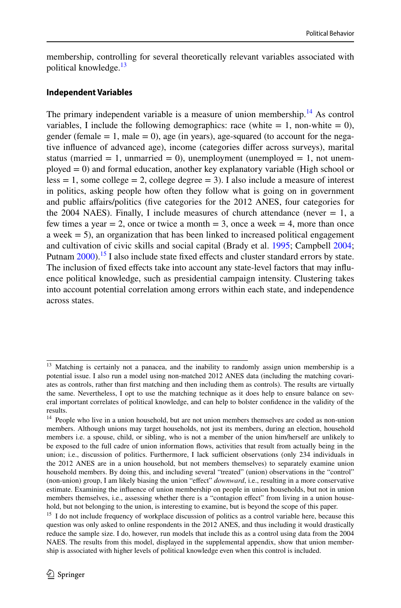membership, controlling for several theoretically relevant variables associated with political knowledge.<sup>[13](#page-9-0)</sup>

#### **Independent Variables**

The primary independent variable is a measure of union membership.<sup>14</sup> As control variables, I include the following demographics: race (white  $= 1$ , non-white  $= 0$ ), gender (female  $= 1$ , male  $= 0$ ), age (in years), age-squared (to account for the negative infuence of advanced age), income (categories difer across surveys), marital status (married  $= 1$ , unmarried  $= 0$ ), unemployment (unemployed  $= 1$ , not unemployed = 0) and formal education, another key explanatory variable (High school or  $less = 1$ , some college = 2, college degree = 3). I also include a measure of interest in politics, asking people how often they follow what is going on in government and public afairs/politics (fve categories for the 2012 ANES, four categories for the 2004 NAES). Finally, I include measures of church attendance (never  $= 1$ , a few times a year  $= 2$ , once or twice a month  $= 3$ , once a week  $= 4$ , more than once a week  $= 5$ ), an organization that has been linked to increased political engagement and cultivation of civic skills and social capital (Brady et al. [1995](#page-20-20); Campbell [2004;](#page-20-25) Putnam  $2000$ ).<sup>15</sup> I also include state fixed effects and cluster standard errors by state. The inclusion of fixed effects take into account any state-level factors that may influence political knowledge, such as presidential campaign intensity. Clustering takes into account potential correlation among errors within each state, and independence across states.

<span id="page-9-0"></span><sup>&</sup>lt;sup>13</sup> Matching is certainly not a panacea, and the inability to randomly assign union membership is a potential issue. I also run a model using non-matched 2012 ANES data (including the matching covariates as controls, rather than frst matching and then including them as controls). The results are virtually the same. Nevertheless, I opt to use the matching technique as it does help to ensure balance on several important correlates of political knowledge, and can help to bolster confdence in the validity of the results.

<span id="page-9-1"></span><sup>&</sup>lt;sup>14</sup> People who live in a union household, but are not union members themselves are coded as non-union members. Although unions may target households, not just its members, during an election, household members i.e. a spouse, child, or sibling, who is not a member of the union him/herself are unlikely to be exposed to the full cadre of union information fows, activities that result from actually being in the union; i.e., discussion of politics. Furthermore, I lack sufficient observations (only 234 individuals in the 2012 ANES are in a union household, but not members themselves) to separately examine union household members. By doing this, and including several "treated" (union) observations in the "control" (non-union) group, I am likely biasing the union "efect" *downward*, i.e., resulting in a more conservative estimate. Examining the infuence of union membership on people in union households, but not in union members themselves, i.e., assessing whether there is a "contagion efect" from living in a union household, but not belonging to the union, is interesting to examine, but is beyond the scope of this paper.

<span id="page-9-2"></span><sup>&</sup>lt;sup>15</sup> I do not include frequency of workplace discussion of politics as a control variable here, because this question was only asked to online respondents in the 2012 ANES, and thus including it would drastically reduce the sample size. I do, however, run models that include this as a control using data from the 2004 NAES. The results from this model, displayed in the supplemental appendix, show that union membership is associated with higher levels of political knowledge even when this control is included.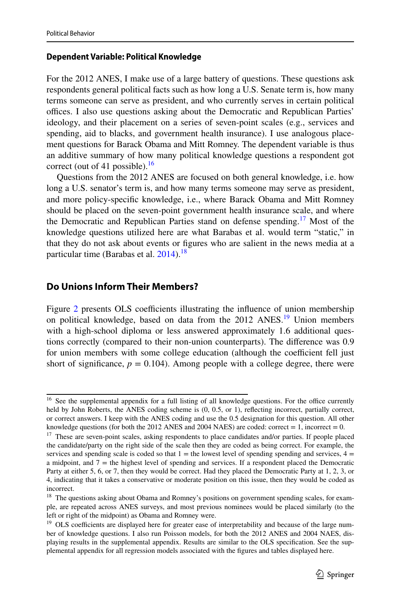#### **Dependent Variable: Political Knowledge**

For the 2012 ANES, I make use of a large battery of questions. These questions ask respondents general political facts such as how long a U.S. Senate term is, how many terms someone can serve as president, and who currently serves in certain political offices. I also use questions asking about the Democratic and Republican Parties' ideology, and their placement on a series of seven-point scales (e.g., services and spending, aid to blacks, and government health insurance). I use analogous placement questions for Barack Obama and Mitt Romney. The dependent variable is thus an additive summary of how many political knowledge questions a respondent got correct (out of 41 possible). $16$ 

Questions from the 2012 ANES are focused on both general knowledge, i.e. how long a U.S. senator's term is, and how many terms someone may serve as president, and more policy-specifc knowledge, i.e., where Barack Obama and Mitt Romney should be placed on the seven-point government health insurance scale, and where the Democratic and Republican Parties stand on defense spending.<sup>[17](#page-10-1)</sup> Most of the knowledge questions utilized here are what Barabas et al. would term "static," in that they do not ask about events or fgures who are salient in the news media at a particular time (Barabas et al.  $2014$ ).<sup>[18](#page-10-2)</sup>

# **Do Unions Inform Their Members?**

Figure [2](#page-12-0) presents OLS coefficients illustrating the influence of union membership on political knowledge, based on data from the 2012 ANES.<sup>19</sup> Union members with a high-school diploma or less answered approximately 1.6 additional questions correctly (compared to their non-union counterparts). The diference was 0.9 for union members with some college education (although the coefficient fell just short of significance,  $p = 0.104$ ). Among people with a college degree, there were

<span id="page-10-0"></span><sup>&</sup>lt;sup>16</sup> See the supplemental appendix for a full listing of all knowledge questions. For the office currently held by John Roberts, the ANES coding scheme is (0, 0.5, or 1), refecting incorrect, partially correct, or correct answers. I keep with the ANES coding and use the 0.5 designation for this question. All other knowledge questions (for both the 2012 ANES and 2004 NAES) are coded: correct  $= 1$ , incorrect  $= 0$ .

<span id="page-10-1"></span><sup>&</sup>lt;sup>17</sup> These are seven-point scales, asking respondents to place candidates and/or parties. If people placed the candidate/party on the right side of the scale then they are coded as being correct. For example, the services and spending scale is coded so that  $1 =$  the lowest level of spending spending and services,  $4 =$ a midpoint, and 7 = the highest level of spending and services. If a respondent placed the Democratic Party at either 5, 6, or 7, then they would be correct. Had they placed the Democratic Party at 1, 2, 3, or 4, indicating that it takes a conservative or moderate position on this issue, then they would be coded as incorrect.

<span id="page-10-2"></span><sup>&</sup>lt;sup>18</sup> The questions asking about Obama and Romney's positions on government spending scales, for example, are repeated across ANES surveys, and most previous nominees would be placed similarly (to the left or right of the midpoint) as Obama and Romney were.

<span id="page-10-3"></span><sup>&</sup>lt;sup>19</sup> OLS coefficients are displayed here for greater ease of interpretability and because of the large number of knowledge questions. I also run Poisson models, for both the 2012 ANES and 2004 NAES, displaying results in the supplemental appendix. Results are similar to the OLS specifcation. See the supplemental appendix for all regression models associated with the fgures and tables displayed here.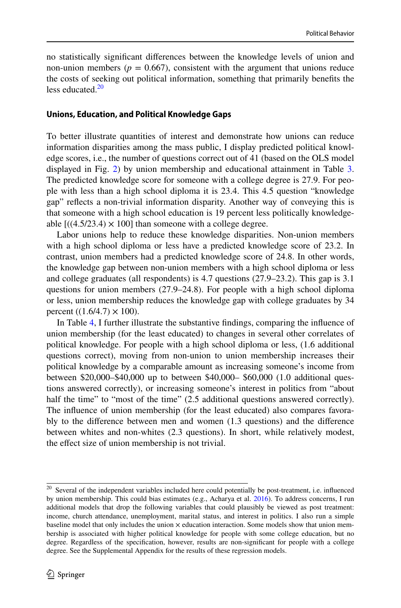no statistically signifcant diferences between the knowledge levels of union and non-union members ( $p = 0.667$ ), consistent with the argument that unions reduce the costs of seeking out political information, something that primarily benefts the less educated. $20$ 

#### **Unions, Education, and Political Knowledge Gaps**

To better illustrate quantities of interest and demonstrate how unions can reduce information disparities among the mass public, I display predicted political knowledge scores, i.e., the number of questions correct out of 41 (based on the OLS model displayed in Fig. [2\)](#page-12-0) by union membership and educational attainment in Table [3.](#page-13-0) The predicted knowledge score for someone with a college degree is 27.9. For people with less than a high school diploma it is 23.4. This 4.5 question "knowledge gap" refects a non-trivial information disparity. Another way of conveying this is that someone with a high school education is 19 percent less politically knowledgeable  $[((4.5/23.4) \times 100]$  than someone with a college degree.

Labor unions help to reduce these knowledge disparities. Non-union members with a high school diploma or less have a predicted knowledge score of 23.2. In contrast, union members had a predicted knowledge score of 24.8. In other words, the knowledge gap between non-union members with a high school diploma or less and college graduates (all respondents) is 4.7 questions (27.9–23.2). This gap is 3.1 questions for union members (27.9–24.8). For people with a high school diploma or less, union membership reduces the knowledge gap with college graduates by 34 percent  $((1.6/4.7) \times 100)$ .

In Table [4](#page-13-1), I further illustrate the substantive fndings, comparing the infuence of union membership (for the least educated) to changes in several other correlates of political knowledge. For people with a high school diploma or less, (1.6 additional questions correct), moving from non-union to union membership increases their political knowledge by a comparable amount as increasing someone's income from between \$20,000–\$40,000 up to between \$40,000– \$60,000 (1.0 additional questions answered correctly), or increasing someone's interest in politics from "about half the time" to "most of the time" (2.5 additional questions answered correctly). The infuence of union membership (for the least educated) also compares favorably to the diference between men and women (1.3 questions) and the diference between whites and non-whites (2.3 questions). In short, while relatively modest, the efect size of union membership is not trivial.

<span id="page-11-0"></span><sup>&</sup>lt;sup>20</sup> Several of the independent variables included here could potentially be post-treatment, i.e. influenced by union membership. This could bias estimates (e.g., Acharya et al. [2016](#page-19-4)). To address concerns, I run additional models that drop the following variables that could plausibly be viewed as post treatment: income, church attendance, unemployment, marital status, and interest in politics. I also run a simple baseline model that only includes the union  $\times$  education interaction. Some models show that union membership is associated with higher political knowledge for people with some college education, but no degree. Regardless of the specifcation, however, results are non-signifcant for people with a college degree. See the Supplemental Appendix for the results of these regression models.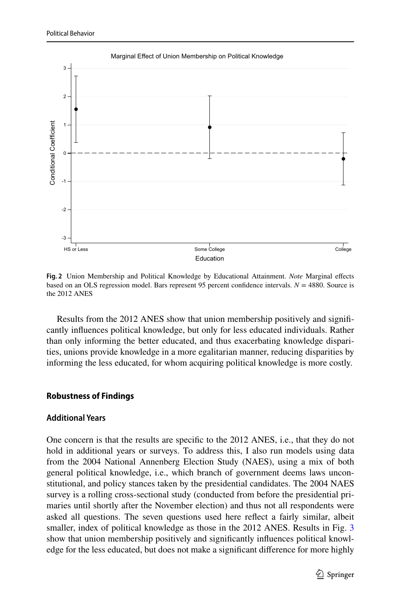

<span id="page-12-0"></span>**Fig. 2** Union Membership and Political Knowledge by Educational Attainment. *Note* Marginal efects based on an OLS regression model. Bars represent 95 percent confdence intervals. *N* = 4880. Source is the 2012 ANES

Results from the 2012 ANES show that union membership positively and signifcantly infuences political knowledge, but only for less educated individuals. Rather than only informing the better educated, and thus exacerbating knowledge disparities, unions provide knowledge in a more egalitarian manner, reducing disparities by informing the less educated, for whom acquiring political knowledge is more costly.

#### **Robustness of Findings**

#### **Additional Years**

One concern is that the results are specifc to the 2012 ANES, i.e., that they do not hold in additional years or surveys. To address this, I also run models using data from the 2004 National Annenberg Election Study (NAES), using a mix of both general political knowledge, i.e., which branch of government deems laws unconstitutional, and policy stances taken by the presidential candidates. The 2004 NAES survey is a rolling cross-sectional study (conducted from before the presidential primaries until shortly after the November election) and thus not all respondents were asked all questions. The seven questions used here refect a fairly similar, albeit smaller, index of political knowledge as those in the 2012 ANES. Results in Fig. [3](#page-15-0) show that union membership positively and signifcantly infuences political knowledge for the less educated, but does not make a signifcant diference for more highly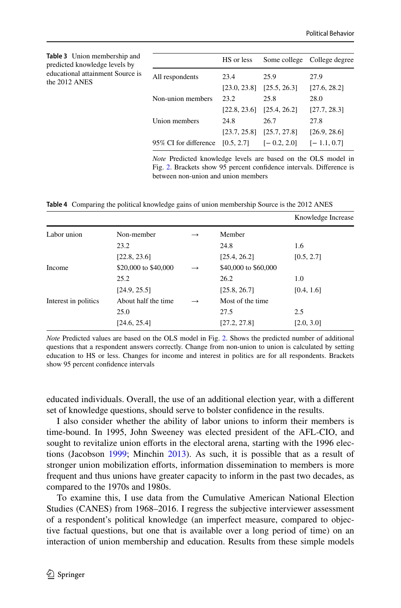<span id="page-13-0"></span>

| <b>Table 3</b> Union membership and<br>predicted knowledge levels by |                       | HS or less           |                      | Some college College degree |
|----------------------------------------------------------------------|-----------------------|----------------------|----------------------|-----------------------------|
| educational attainment Source is<br>the 2012 ANES                    | All respondents       | 23.4<br>[23.0, 23.8] | 25.9<br>[25.5, 26.3] | 27.9<br>[27.6, 28.2]        |
|                                                                      | Non-union members     | 23.2                 | 25.8                 | 28.0                        |
|                                                                      |                       | [22.8, 23.6]         | [25.4, 26.2]         | [27.7, 28.3]                |
|                                                                      | Union members         | 24.8<br>[23.7, 25.8] | 26.7<br>[25.7, 27.8] | 27.8<br>[26.9, 28.6]        |
|                                                                      | 95% CI for difference | [0.5, 2.7]           | $[-0.2, 2.0]$        | $[-1.1, 0.7]$               |

*Note* Predicted knowledge levels are based on the OLS model in Fig. [2](#page-12-0). Brackets show 95 percent confdence intervals. Diference is between non-union and union members

<span id="page-13-1"></span>**Table 4** Comparing the political knowledge gains of union membership Source is the 2012 ANES

|                      |                                      |               |                      | Knowledge Increase |
|----------------------|--------------------------------------|---------------|----------------------|--------------------|
| Labor union          | Non-member                           | $\rightarrow$ | Member               |                    |
|                      | 23.2                                 |               | 24.8                 | 1.6                |
|                      | [22.8, 23.6]                         |               | [25.4, 26.2]         | [0.5, 2.7]         |
| Income               | \$20,000 to \$40,000                 | $\rightarrow$ | \$40,000 to \$60,000 |                    |
|                      | 25.2                                 |               | 26.2                 | 1.0                |
|                      | [24.9, 25.5]                         |               | [25.8, 26.7]         | [0.4, 1.6]         |
| Interest in politics | About half the time<br>$\rightarrow$ |               | Most of the time.    |                    |
|                      | 25.0                                 |               | 27.5                 | 2.5                |
|                      | [24.6, 25.4]                         |               | [27.2, 27.8]         | [2.0, 3.0]         |

*Note* Predicted values are based on the OLS model in Fig. [2.](#page-12-0) Shows the predicted number of additional questions that a respondent answers correctly. Change from non-union to union is calculated by setting education to HS or less. Changes for income and interest in politics are for all respondents. Brackets show 95 percent confdence intervals

educated individuals. Overall, the use of an additional election year, with a diferent set of knowledge questions, should serve to bolster confdence in the results.

I also consider whether the ability of labor unions to inform their members is time-bound. In 1995, John Sweeney was elected president of the AFL-CIO, and sought to revitalize union efforts in the electoral arena, starting with the 1996 elections (Jacobson [1999;](#page-21-20) Minchin [2013](#page-22-20)). As such, it is possible that as a result of stronger union mobilization efforts, information dissemination to members is more frequent and thus unions have greater capacity to inform in the past two decades, as compared to the 1970s and 1980s.

To examine this, I use data from the Cumulative American National Election Studies (CANES) from 1968–2016. I regress the subjective interviewer assessment of a respondent's political knowledge (an imperfect measure, compared to objective factual questions, but one that is available over a long period of time) on an interaction of union membership and education. Results from these simple models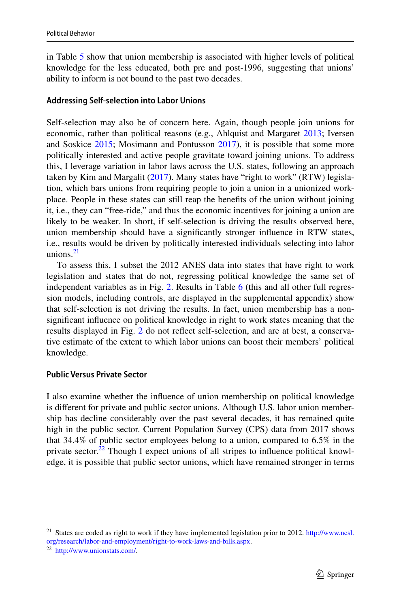in Table [5](#page-16-0) show that union membership is associated with higher levels of political knowledge for the less educated, both pre and post-1996, suggesting that unions' ability to inform is not bound to the past two decades.

# **Addressing Self‑selection into Labor Unions**

Self-selection may also be of concern here. Again, though people join unions for economic, rather than political reasons (e.g., Ahlquist and Margaret [2013;](#page-20-23) Iversen and Soskice [2015;](#page-21-10) Mosimann and Pontusson [2017](#page-22-6)), it is possible that some more politically interested and active people gravitate toward joining unions. To address this, I leverage variation in labor laws across the U.S. states, following an approach taken by Kim and Margalit ([2017\)](#page-21-8). Many states have "right to work" (RTW) legislation, which bars unions from requiring people to join a union in a unionized workplace. People in these states can still reap the benefts of the union without joining it, i.e., they can "free-ride," and thus the economic incentives for joining a union are likely to be weaker. In short, if self-selection is driving the results observed here, union membership should have a signifcantly stronger infuence in RTW states, i.e., results would be driven by politically interested individuals selecting into labor unions. $21$ 

To assess this, I subset the 2012 ANES data into states that have right to work legislation and states that do not, regressing political knowledge the same set of independent variables as in Fig. [2.](#page-12-0) Results in Table [6](#page-16-1) (this and all other full regression models, including controls, are displayed in the supplemental appendix) show that self-selection is not driving the results. In fact, union membership has a nonsignifcant infuence on political knowledge in right to work states meaning that the results displayed in Fig. [2](#page-12-0) do not refect self-selection, and are at best, a conservative estimate of the extent to which labor unions can boost their members' political knowledge.

#### **Public Versus Private Sector**

I also examine whether the infuence of union membership on political knowledge is diferent for private and public sector unions. Although U.S. labor union membership has decline considerably over the past several decades, it has remained quite high in the public sector. Current Population Survey (CPS) data from 2017 shows that 34.4% of public sector employees belong to a union, compared to 6.5% in the private sector. $22$  Though I expect unions of all stripes to influence political knowledge, it is possible that public sector unions, which have remained stronger in terms

<span id="page-14-0"></span><sup>&</sup>lt;sup>21</sup> States are coded as right to work if they have implemented legislation prior to 2012. [http://www.ncsl.](http://www.ncsl.org/research/labor-and-employment/right-to-work-laws-and-bills.aspx) [org/research/labor-and-employment/right-to-work-laws-and-bills.aspx](http://www.ncsl.org/research/labor-and-employment/right-to-work-laws-and-bills.aspx).

<span id="page-14-1"></span><sup>22</sup> [http://www.unionstats.com/.](http://www.unionstats.com/)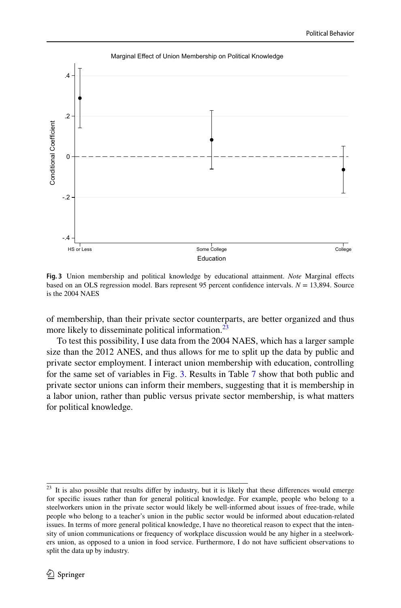

<span id="page-15-0"></span>**Fig. 3** Union membership and political knowledge by educational attainment. *Note* Marginal efects based on an OLS regression model. Bars represent 95 percent confdence intervals. *N* = 13,894. Source is the 2004 NAES

of membership, than their private sector counterparts, are better organized and thus more likely to disseminate political information.<sup>[23](#page-15-1)</sup>

To test this possibility, I use data from the 2004 NAES, which has a larger sample size than the 2012 ANES, and thus allows for me to split up the data by public and private sector employment. I interact union membership with education, controlling for the same set of variables in Fig. [3](#page-15-0). Results in Table [7](#page-17-0) show that both public and private sector unions can inform their members, suggesting that it is membership in a labor union, rather than public versus private sector membership, is what matters for political knowledge.

<span id="page-15-1"></span> $23$  It is also possible that results differ by industry, but it is likely that these differences would emerge for specifc issues rather than for general political knowledge. For example, people who belong to a steelworkers union in the private sector would likely be well-informed about issues of free-trade, while people who belong to a teacher's union in the public sector would be informed about education-related issues. In terms of more general political knowledge, I have no theoretical reason to expect that the intensity of union communications or frequency of workplace discussion would be any higher in a steelworkers union, as opposed to a union in food service. Furthermore, I do not have sufficient observations to split the data up by industry.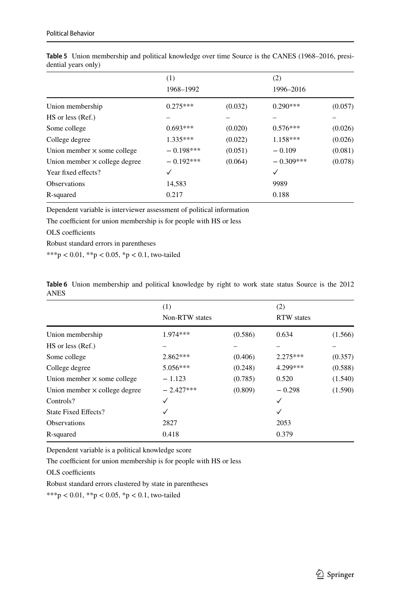|                                      | (1)<br>1968-1992 |         | (2)<br>1996-2016 |         |
|--------------------------------------|------------------|---------|------------------|---------|
|                                      |                  |         |                  |         |
| Union membership                     | $0.275***$       | (0.032) | $0.290***$       | (0.057) |
| HS or less (Ref.)                    |                  |         |                  |         |
| Some college                         | $0.693***$       | (0.020) | $0.576***$       | (0.026) |
| College degree                       | $1.335***$       | (0.022) | $1.158***$       | (0.026) |
| Union member $\times$ some college   | $-0.198***$      | (0.051) | $-0.109$         | (0.081) |
| Union member $\times$ college degree | $-0.192***$      | (0.064) | $-0.309***$      | (0.078) |
| Year fixed effects?                  | ✓                |         | ✓                |         |
| <b>Observations</b>                  | 14,583           |         | 9989             |         |
| R-squared                            | 0.217            |         | 0.188            |         |

<span id="page-16-0"></span>**Table 5** Union membership and political knowledge over time Source is the CANES (1968–2016, presidential years only)

Dependent variable is interviewer assessment of political information

The coefficient for union membership is for people with HS or less

OLS coefficients

Robust standard errors in parentheses

\*\*\*p < 0.01, \*\*p < 0.05, \*p < 0.1, two-tailed

<span id="page-16-1"></span>

|      | Table 6 Union membership and political knowledge by right to work state status Source is the 2012 |  |  |  |  |  |  |  |
|------|---------------------------------------------------------------------------------------------------|--|--|--|--|--|--|--|
| ANES |                                                                                                   |  |  |  |  |  |  |  |

|                                      | (1)            |                   | (2)          |         |
|--------------------------------------|----------------|-------------------|--------------|---------|
|                                      | Non-RTW states | <b>RTW</b> states |              |         |
| Union membership                     | $1.974***$     | (0.586)           | 0.634        | (1.566) |
| HS or less (Ref.)                    |                |                   |              |         |
| Some college                         | $2.862***$     | (0.406)           | $2.275***$   | (0.357) |
| College degree                       | $5.056***$     | (0.248)           | 4.299***     | (0.588) |
| Union member $\times$ some college   | $-1.123$       | (0.785)           | 0.520        | (1.540) |
| Union member $\times$ college degree | $-2.427***$    | (0.809)           | $-0.298$     | (1.590) |
| Controls?                            | ✓              |                   | ✓            |         |
| State Fixed Effects?                 | ✓              |                   | $\checkmark$ |         |
| <b>Observations</b>                  | 2827           |                   | 2053         |         |
| R-squared                            | 0.418          |                   | 0.379        |         |

Dependent variable is a political knowledge score

The coefficient for union membership is for people with HS or less

OLS coefficients

Robust standard errors clustered by state in parentheses

\*\*\*p < 0.01, \*\*p < 0.05, \*p < 0.1, two-tailed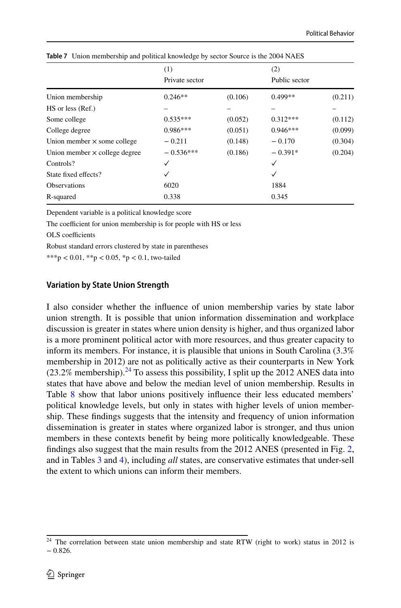|                                      | (1)            |         | (2)           |         |
|--------------------------------------|----------------|---------|---------------|---------|
|                                      | Private sector |         | Public sector |         |
| Union membership                     | $0.246**$      | (0.106) | $0.499**$     | (0.211) |
| HS or less (Ref.)                    |                |         |               |         |
| Some college                         | $0.535***$     | (0.052) | $0.312***$    | (0.112) |
| College degree                       | $0.986***$     | (0.051) | $0.946***$    | (0.099) |
| Union member $\times$ some college   | $-0.211$       | (0.148) | $-0.170$      | (0.304) |
| Union member $\times$ college degree | $-0.536***$    | (0.186) | $-0.391*$     | (0.204) |
| Controls?                            | ✓              |         | ✓             |         |
| State fixed effects?                 | ✓              |         | ✓             |         |
| <b>Observations</b>                  | 6020           |         | 1884          |         |
| R-squared                            | 0.338          |         | 0.345         |         |
|                                      |                |         |               |         |

<span id="page-17-0"></span>**Table 7** Union membership and political knowledge by sector Source is the 2004 NAES

Dependent variable is a political knowledge score

The coefficient for union membership is for people with HS or less

OLS coefficients

Robust standard errors clustered by state in parentheses

\*\*\*p < 0.01, \*\*p < 0.05, \*p < 0.1, two-tailed

#### **Variation by State Union Strength**

I also consider whether the infuence of union membership varies by state labor union strength. It is possible that union information dissemination and workplace discussion is greater in states where union density is higher, and thus organized labor is a more prominent political actor with more resources, and thus greater capacity to inform its members. For instance, it is plausible that unions in South Carolina (3.3% membership in 2012) are not as politically active as their counterparts in New York  $(23.2\%$  membership).<sup>24</sup> To assess this possibility, I split up the 2012 ANES data into states that have above and below the median level of union membership. Results in Table [8](#page-19-5) show that labor unions positively infuence their less educated members' political knowledge levels, but only in states with higher levels of union membership. These fndings suggests that the intensity and frequency of union information dissemination is greater in states where organized labor is stronger, and thus union members in these contexts beneft by being more politically knowledgeable. These fndings also suggest that the main results from the 2012 ANES (presented in Fig. [2,](#page-12-0) and in Tables [3](#page-13-0) and [4\)](#page-13-1), including *all* states, are conservative estimates that under-sell the extent to which unions can inform their members.

<span id="page-17-1"></span> $24$  The correlation between state union membership and state RTW (right to work) status in 2012 is  $-0.826.$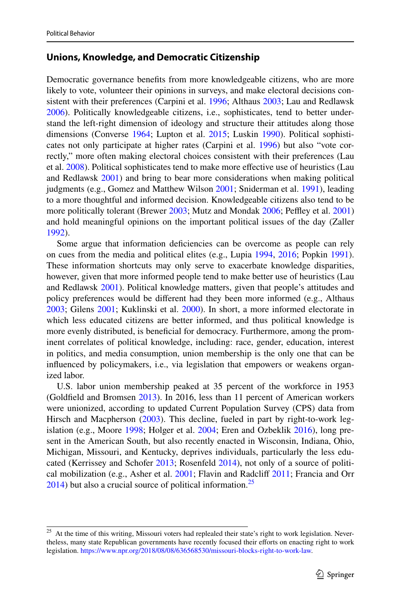# **Unions, Knowledge, and Democratic Citizenship**

Democratic governance benefts from more knowledgeable citizens, who are more likely to vote, volunteer their opinions in surveys, and make electoral decisions consistent with their preferences (Carpini et al. [1996;](#page-20-4) Althaus [2003](#page-20-16); Lau and Redlawsk [2006](#page-22-18)). Politically knowledgeable citizens, i.e., sophisticates, tend to better understand the left-right dimension of ideology and structure their attitudes along those dimensions (Converse [1964;](#page-20-26) Lupton et al. [2015;](#page-22-21) Luskin [1990](#page-22-16)). Political sophisticates not only participate at higher rates (Carpini et al. [1996\)](#page-20-4) but also "vote correctly," more often making electoral choices consistent with their preferences (Lau et al. [2008\)](#page-21-0). Political sophisticates tend to make more effective use of heuristics (Lau and Redlawsk [2001](#page-22-22)) and bring to bear more considerations when making political judgments (e.g., Gomez and Matthew Wilson [2001;](#page-21-21) Sniderman et al. [1991](#page-22-23)), leading to a more thoughtful and informed decision. Knowledgeable citizens also tend to be more politically tolerant (Brewer [2003](#page-20-27); Mutz and Mondak [2006](#page-22-13); Peffley et al. [2001](#page-22-24)) and hold meaningful opinions on the important political issues of the day (Zaller [1992](#page-23-1)).

Some argue that information deficiencies can be overcome as people can rely on cues from the media and political elites (e.g., Lupia [1994](#page-22-25), [2016](#page-22-26); Popkin [1991\)](#page-22-27). These information shortcuts may only serve to exacerbate knowledge disparities, however, given that more informed people tend to make better use of heuristics (Lau and Redlawsk [2001](#page-22-22)). Political knowledge matters, given that people's attitudes and policy preferences would be diferent had they been more informed (e.g., Althaus [2003](#page-20-16); Gilens [2001;](#page-21-22) Kuklinski et al. [2000](#page-21-23)). In short, a more informed electorate in which less educated citizens are better informed, and thus political knowledge is more evenly distributed, is beneficial for democracy. Furthermore, among the prominent correlates of political knowledge, including: race, gender, education, interest in politics, and media consumption, union membership is the only one that can be infuenced by policymakers, i.e., via legislation that empowers or weakens organized labor.

U.S. labor union membership peaked at 35 percent of the workforce in 1953 (Goldfeld and Bromsen [2013](#page-21-24)). In 2016, less than 11 percent of American workers were unionized, according to updated Current Population Survey (CPS) data from Hirsch and Macpherson ([2003\)](#page-21-25). This decline, fueled in part by right-to-work legislation (e.g., Moore [1998;](#page-22-28) Holger et al. [2004;](#page-21-26) Eren and Ozbeklik [2016](#page-20-28)), long present in the American South, but also recently enacted in Wisconsin, Indiana, Ohio, Michigan, Missouri, and Kentucky, deprives individuals, particularly the less educated (Kerrissey and Schofer [2013;](#page-21-12) Rosenfeld [2014\)](#page-22-29), not only of a source of politi-cal mobilization (e.g., Asher et al. [2001;](#page-20-8) Flavin and Radcliff [2011](#page-20-9); Francia and Orr  $2014$ ) but also a crucial source of political information.<sup>[25](#page-18-0)</sup>

<span id="page-18-0"></span><sup>&</sup>lt;sup>25</sup> At the time of this writing, Missouri voters had replealed their state's right to work legislation. Nevertheless, many state Republican governments have recently focused their efforts on enacting right to work legislation.<https://www.npr.org/2018/08/08/636568530/missouri-blocks-right-to-work-law>.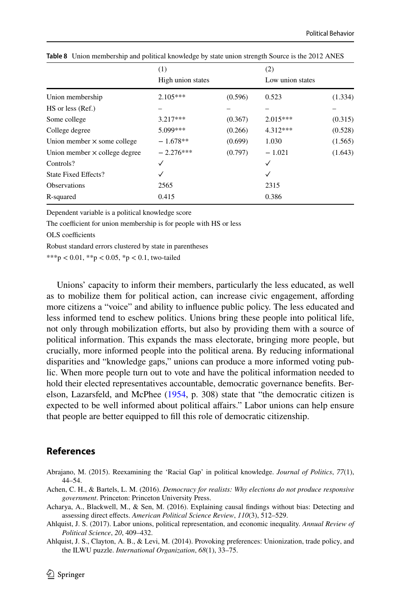|                                      | (1)               |         | (2)              |         |
|--------------------------------------|-------------------|---------|------------------|---------|
|                                      | High union states |         | Low union states |         |
| Union membership                     | $2.105***$        | (0.596) | 0.523            | (1.334) |
| HS or less (Ref.)                    |                   |         |                  |         |
| Some college                         | $3.217***$        | (0.367) | $2.015***$       | (0.315) |
| College degree                       | 5.099***          | (0.266) | 4.312***         | (0.528) |
| Union member $\times$ some college   | $-1.678**$        | (0.699) | 1.030            | (1.565) |
| Union member $\times$ college degree | $-2.276***$       | (0.797) | $-1.021$         | (1.643) |
| Controls?                            |                   |         | ✓                |         |
| <b>State Fixed Effects?</b>          |                   |         | ✓                |         |
| Observations                         | 2565              |         | 2315             |         |
| R-squared                            | 0.415             |         | 0.386            |         |

<span id="page-19-5"></span>**Table 8** Union membership and political knowledge by state union strength Source is the 2012 ANES

Dependent variable is a political knowledge score

The coefficient for union membership is for people with HS or less

OLS coefficients

Robust standard errors clustered by state in parentheses

\*\*\*p < 0.01, \*\*p < 0.05, \*p < 0.1, two-tailed

Unions' capacity to inform their members, particularly the less educated, as well as to mobilize them for political action, can increase civic engagement, afording more citizens a "voice" and ability to infuence public policy. The less educated and less informed tend to eschew politics. Unions bring these people into political life, not only through mobilization efforts, but also by providing them with a source of political information. This expands the mass electorate, bringing more people, but crucially, more informed people into the political arena. By reducing informational disparities and "knowledge gaps," unions can produce a more informed voting public. When more people turn out to vote and have the political information needed to hold their elected representatives accountable, democratic governance benefts. Berelson, Lazarsfeld, and McPhee ([1954,](#page-20-18) p. 308) state that "the democratic citizen is expected to be well informed about political afairs." Labor unions can help ensure that people are better equipped to fll this role of democratic citizenship.

# **References**

- <span id="page-19-1"></span>Abrajano, M. (2015). Reexamining the 'Racial Gap' in political knowledge. *Journal of Politics*, *77*(1), 44–54.
- <span id="page-19-0"></span>Achen, C. H., & Bartels, L. M. (2016). *Democracy for realists: Why elections do not produce responsive government*. Princeton: Princeton University Press.
- <span id="page-19-4"></span>Acharya, A., Blackwell, M., & Sen, M. (2016). Explaining causal fndings without bias: Detecting and assessing direct efects. *American Political Science Review*, *110*(3), 512–529.
- <span id="page-19-3"></span>Ahlquist, J. S. (2017). Labor unions, political representation, and economic inequality. *Annual Review of Political Science*, *20*, 409–432.

<span id="page-19-2"></span>Ahlquist, J. S., Clayton, A. B., & Levi, M. (2014). Provoking preferences: Unionization, trade policy, and the ILWU puzzle. *International Organization*, *68*(1), 33–75.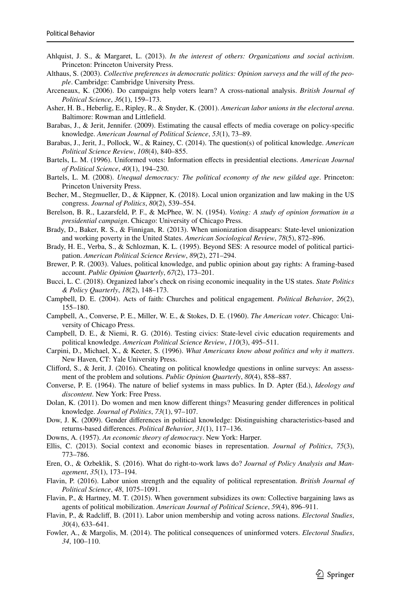- <span id="page-20-23"></span>Ahlquist, J. S., & Margaret, L. (2013). *In the interest of others: Organizations and social activism*. Princeton: Princeton University Press.
- <span id="page-20-16"></span>Althaus, S. (2003). *Collective preferences in democratic politics: Opinion surveys and the will of the people*. Cambridge: Cambridge University Press.
- <span id="page-20-17"></span>Arceneaux, K. (2006). Do campaigns help voters learn? A cross-national analysis. *British Journal of Political Science*, *36*(1), 159–173.
- <span id="page-20-8"></span>Asher, H. B., Heberlig, E., Ripley, R., & Snyder, K. (2001). *American labor unions in the electoral arena*. Baltimore: Rowman and Littlefeld.
- <span id="page-20-7"></span>Barabas, J., & Jerit, Jennifer. (2009). Estimating the causal efects of media coverage on policy-specifc knowledge. *American Journal of Political Science*, *53*(1), 73–89.
- <span id="page-20-3"></span>Barabas, J., Jerit, J., Pollock, W., & Rainey, C. (2014). The question(s) of political knowledge. *American Political Science Review*, *108*(4), 840–855.
- <span id="page-20-1"></span>Bartels, L. M. (1996). Uniformed votes: Information efects in presidential elections. *American Journal of Political Science*, *40*(1), 194–230.
- <span id="page-20-10"></span>Bartels, L. M. (2008). *Unequal democracy: The political economy of the new gilded age*. Princeton: Princeton University Press.
- <span id="page-20-13"></span>Becher, M., Stegmueller, D., & Käppner, K. (2018). Local union organization and law making in the US congress. *Journal of Politics*, *80*(2), 539–554.
- <span id="page-20-18"></span>Berelson, B. R., Lazarsfeld, P. F., & McPhee, W. N. (1954). *Voting: A study of opinion formation in a presidential campaign*. Chicago: University of Chicago Press.
- <span id="page-20-12"></span>Brady, D., Baker, R. S., & Finnigan, R. (2013). When unionization disappears: State-level unionization and working poverty in the United States. *American Sociological Review*, *78*(5), 872–896.
- <span id="page-20-20"></span>Brady, H. E., Verba, S., & Schlozman, K. L. (1995). Beyond SES: A resource model of political participation. *American Political Science Review*, *89*(2), 271–294.
- <span id="page-20-27"></span>Brewer, P. R. (2003). Values, political knowledge, and public opinion about gay rights: A framing-based account. *Public Opinion Quarterly*, *67*(2), 173–201.
- <span id="page-20-11"></span>Bucci, L. C. (2018). Organized labor's check on rising economic inequality in the US states. *State Politics & Policy Quarterly*, *18*(2), 148–173.
- <span id="page-20-25"></span>Campbell, D. E. (2004). Acts of faith: Churches and political engagement. *Political Behavior*, *26*(2), 155–180.
- <span id="page-20-0"></span>Campbell, A., Converse, P. E., Miller, W. E., & Stokes, D. E. (1960). *The American voter*. Chicago: University of Chicago Press.
- <span id="page-20-21"></span>Campbell, D. E., & Niemi, R. G. (2016). Testing civics: State-level civic education requirements and political knowledge. *American Political Science Review*, *110*(3), 495–511.
- <span id="page-20-4"></span>Carpini, D., Michael, X., & Keeter, S. (1996). *What Americans know about politics and why it matters*. New Haven, CT: Yale University Press.
- <span id="page-20-24"></span>Cliford, S., & Jerit, J. (2016). Cheating on political knowledge questions in online surveys: An assessment of the problem and solutions. *Public Opinion Quarterly*, *80*(4), 858–887.
- <span id="page-20-26"></span>Converse, P. E. (1964). The nature of belief systems in mass publics. In D. Apter (Ed.), *Ideology and discontent*. New York: Free Press.
- <span id="page-20-5"></span>Dolan, K. (2011). Do women and men know diferent things? Measuring gender diferences in political knowledge. *Journal of Politics*, *73*(1), 97–107.
- <span id="page-20-6"></span>Dow, J. K. (2009). Gender diferences in political knowledge: Distinguishing characteristics-based and returns-based diferences. *Political Behavior*, *31*(1), 117–136.
- <span id="page-20-19"></span>Downs, A. (1957). *An economic theory of democracy*. New York: Harper.
- <span id="page-20-14"></span>Ellis, C. (2013). Social context and economic biases in representation. *Journal of Politics*, *75*(3), 773–786.
- <span id="page-20-28"></span>Eren, O., & Ozbeklik, S. (2016). What do right-to-work laws do? *Journal of Policy Analysis and Management*, *35*(1), 173–194.
- <span id="page-20-15"></span>Flavin, P. (2016). Labor union strength and the equality of political representation. *British Journal of Political Science*, *48*, 1075–1091.
- <span id="page-20-22"></span>Flavin, P., & Hartney, M. T. (2015). When government subsidizes its own: Collective bargaining laws as agents of political mobilization. *American Journal of Political Science*, *59*(4), 896–911.
- <span id="page-20-9"></span>Flavin, P., & Radclif, B. (2011). Labor union membership and voting across nations. *Electoral Studies*, *30*(4), 633–641.
- <span id="page-20-2"></span>Fowler, A., & Margolis, M. (2014). The political consequences of uninformed voters. *Electoral Studies*, *34*, 100–110.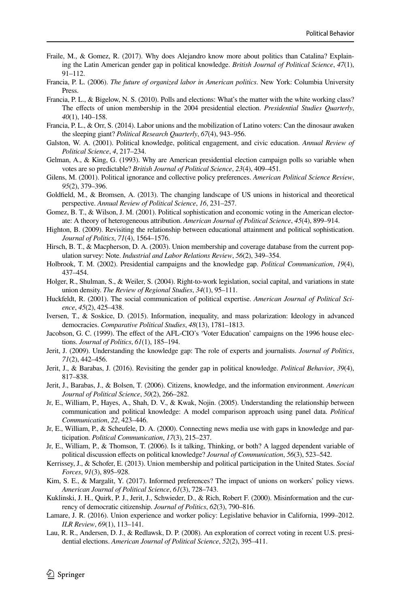- <span id="page-21-2"></span>Fraile, M., & Gomez, R. (2017). Why does Alejandro know more about politics than Catalina? Explaining the Latin American gender gap in political knowledge. *British Journal of Political Science*, *47*(1), 91–112.
- <span id="page-21-11"></span>Francia, P. L. (2006). *The future of organized labor in American politics*. New York: Columbia University Press.
- <span id="page-21-7"></span>Francia, P. L., & Bigelow, N. S. (2010). Polls and elections: What's the matter with the white working class? The efects of union membership in the 2004 presidential election. *Presidential Studies Quarterly*, *40*(1), 140–158.
- <span id="page-21-6"></span>Francia, P. L., & Orr, S. (2014). Labor unions and the mobilization of Latino voters: Can the dinosaur awaken the sleeping giant? *Political Research Quarterly*, *67*(4), 943–956.
- <span id="page-21-19"></span>Galston, W. A. (2001). Political knowledge, political engagement, and civic education. *Annual Review of Political Science*, *4*, 217–234.
- <span id="page-21-13"></span>Gelman, A., & King, G. (1993). Why are American presidential election campaign polls so variable when votes are so predictable? *British Journal of Political Science*, *23*(4), 409–451.
- <span id="page-21-22"></span>Gilens, M. (2001). Political ignorance and collective policy preferences. *American Political Science Review*, *95*(2), 379–396.
- <span id="page-21-24"></span>Goldfeld, M., & Bromsen, A. (2013). The changing landscape of US unions in historical and theoretical perspective. *Annual Review of Political Science*, *16*, 231–257.
- <span id="page-21-21"></span>Gomez, B. T., & Wilson, J. M. (2001). Political sophistication and economic voting in the American electorate: A theory of heterogeneous attribution. *American Journal of Political Science*, *45*(4), 899–914.
- <span id="page-21-1"></span>Highton, B. (2009). Revisiting the relationship between educational attainment and political sophistication. *Journal of Politics*, *71*(4), 1564–1576.
- <span id="page-21-25"></span>Hirsch, B. T., & Macpherson, D. A. (2003). Union membership and coverage database from the current population survey: Note. *Industrial and Labor Relations Review*, *56*(2), 349–354.
- <span id="page-21-14"></span>Holbrook, T. M. (2002). Presidential campaigns and the knowledge gap. *Political Communication*, *19*(4), 437–454.
- <span id="page-21-26"></span>Holger, R., Shulman, S., & Weiler, S. (2004). Right-to-work legislation, social capital, and variations in state union density. *The Review of Regional Studies*, *34*(1), 95–111.
- <span id="page-21-15"></span>Huckfeldt, R. (2001). The social communication of political expertise. *American Journal of Political Science*, *45*(2), 425–438.
- <span id="page-21-10"></span>Iversen, T., & Soskice, D. (2015). Information, inequality, and mass polarization: Ideology in advanced democracies. *Comparative Political Studies*, *48*(13), 1781–1813.
- <span id="page-21-20"></span>Jacobson, G. C. (1999). The efect of the AFL-CIO's 'Voter Education' campaigns on the 1996 house elections. *Journal of Politics*, *61*(1), 185–194.
- <span id="page-21-5"></span>Jerit, J. (2009). Understanding the knowledge gap: The role of experts and journalists. *Journal of Politics*, *71*(2), 442–456.
- <span id="page-21-3"></span>Jerit, J., & Barabas, J. (2016). Revisiting the gender gap in political knowledge. *Political Behavior*, *39*(4), 817–838.
- <span id="page-21-18"></span>Jerit, J., Barabas, J., & Bolsen, T. (2006). Citizens, knowledge, and the information environment. *American Journal of Political Science*, *50*(2), 266–282.
- <span id="page-21-16"></span>Jr, E., William, P., Hayes, A., Shah, D. V., & Kwak, Nojin. (2005). Understanding the relationship between communication and political knowledge: A model comparison approach using panel data. *Political Communication*, *22*, 423–446.
- <span id="page-21-4"></span>Jr, E., William, P., & Scheufele, D. A. (2000). Connecting news media use with gaps in knowledge and participation. *Political Communication*, *17*(3), 215–237.
- <span id="page-21-17"></span>Jr, E., William, P., & Thomson, T. (2006). Is it talking, Thinking, or both? A lagged dependent variable of political discussion efects on political knowledge? *Journal of Communication*, *56*(3), 523–542.
- <span id="page-21-12"></span>Kerrissey, J., & Schofer, E. (2013). Union membership and political participation in the United States. *Social Forces*, *91*(3), 895–928.
- <span id="page-21-8"></span>Kim, S. E., & Margalit, Y. (2017). Informed preferences? The impact of unions on workers' policy views. *American Journal of Political Science*, *61*(3), 728–743.
- <span id="page-21-23"></span>Kuklinski, J. H., Quirk, P. J., Jerit, J., Schwieder, D., & Rich, Robert F. (2000). Misinformation and the currency of democratic citizenship. *Journal of Politics*, *62*(3), 790–816.
- <span id="page-21-9"></span>Lamare, J. R. (2016). Union experience and worker policy: Legislative behavior in California, 1999–2012. *ILR Review*, *69*(1), 113–141.
- <span id="page-21-0"></span>Lau, R. R., Andersen, D. J., & Redlawsk, D. P. (2008). An exploration of correct voting in recent U.S. presidential elections. *American Journal of Political Science*, *52*(2), 395–411.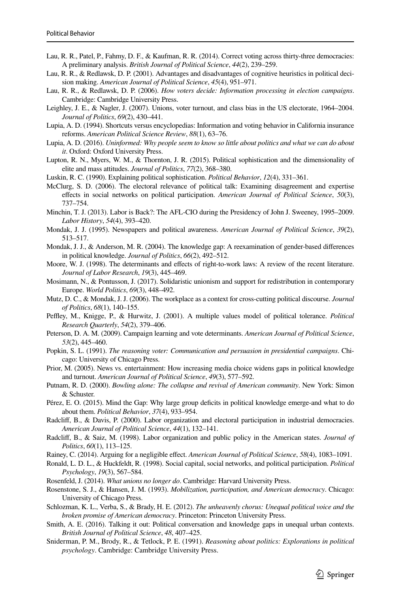- <span id="page-22-0"></span>Lau, R. R., Patel, P., Fahmy, D. F., & Kaufman, R. R. (2014). Correct voting across thirty-three democracies: A preliminary analysis. *British Journal of Political Science*, *44*(2), 239–259.
- <span id="page-22-22"></span>Lau, R. R., & Redlawsk, D. P. (2001). Advantages and disadvantages of cognitive heuristics in political decision making. *American Journal of Political Science*, *45*(4), 951–971.
- <span id="page-22-18"></span>Lau, R. R., & Redlawsk, D. P. (2006). *How voters decide: Information processing in election campaigns*. Cambridge: Cambridge University Press.
- <span id="page-22-5"></span>Leighley, J. E., & Nagler, J. (2007). Unions, voter turnout, and class bias in the US electorate, 1964–2004. *Journal of Politics*, *69*(2), 430–441.
- <span id="page-22-25"></span>Lupia, A. D. (1994). Shortcuts versus encyclopedias: Information and voting behavior in California insurance reforms. *American Political Science Review*, *88*(1), 63–76.
- <span id="page-22-26"></span>Lupia, A. D. (2016). *Uninformed: Why people seem to know so little about politics and what we can do about it*. Oxford: Oxford University Press.
- <span id="page-22-21"></span>Lupton, R. N., Myers, W. M., & Thornton, J. R. (2015). Political sophistication and the dimensionality of elite and mass attitudes. *Journal of Politics*, *77*(2), 368–380.
- <span id="page-22-16"></span>Luskin, R. C. (1990). Explaining political sophistication. *Political Behavior*, *12*(4), 331–361.
- <span id="page-22-11"></span>McClurg, S. D. (2006). The electoral relevance of political talk: Examining disagreement and expertise efects in social networks on political participation. *American Journal of Political Science*, *50*(3), 737–754.
- <span id="page-22-20"></span>Minchin, T. J. (2013). Labor is Back?: The AFL-CIO during the Presidency of John J. Sweeney, 1995–2009. *Labor History*, *54*(4), 393–420.
- <span id="page-22-3"></span>Mondak, J. J. (1995). Newspapers and political awareness. *American Journal of Political Science*, *39*(2), 513–517.
- <span id="page-22-1"></span>Mondak, J. J., & Anderson, M. R. (2004). The knowledge gap: A reexamination of gender-based diferences in political knowledge. *Journal of Politics*, *66*(2), 492–512.
- <span id="page-22-28"></span>Moore, W. J. (1998). The determinants and efects of right-to-work laws: A review of the recent literature. *Journal of Labor Research*, *19*(3), 445–469.
- <span id="page-22-6"></span>Mosimann, N., & Pontusson, J. (2017). Solidaristic unionism and support for redistribution in contemporary Europe. *World Politics*, *69*(3), 448–492.
- <span id="page-22-13"></span>Mutz, D. C., & Mondak, J. J. (2006). The workplace as a context for cross-cutting political discourse. *Journal of Politics*, *68*(1), 140–155.
- <span id="page-22-24"></span>Peffley, M., Knigge, P., & Hurwitz, J. (2001). A multiple values model of political tolerance. *Political Research Quarterly*, *54*(2), 379–406.
- <span id="page-22-10"></span>Peterson, D. A. M. (2009). Campaign learning and vote determinants. *American Journal of Political Science*, *53*(2), 445–460.
- <span id="page-22-27"></span>Popkin, S. L. (1991). *The reasoning voter: Communication and persuasion in presidential campaigns*. Chicago: University of Chicago Press.
- <span id="page-22-4"></span>Prior, M. (2005). News vs. entertainment: How increasing media choice widens gaps in political knowledge and turnout. *American Journal of Political Science*, *49*(3), 577–592.
- <span id="page-22-12"></span>Putnam, R. D. (2000). *Bowling alone: The collapse and revival of American community*. New York: Simon & Schuster.
- <span id="page-22-2"></span>Pérez, E. O. (2015). Mind the Gap: Why large group defcits in political knowledge emerge-and what to do about them. *Political Behavior*, *37*(4), 933–954.
- <span id="page-22-9"></span>Radclif, B., & Davis, P. (2000). Labor organization and electoral participation in industrial democracies. *American Journal of Political Science*, *44*(1), 132–141.
- <span id="page-22-7"></span>Radclif, B., & Saiz, M. (1998). Labor organization and public policy in the American states. *Journal of Politics*, *60*(1), 113–125.
- <span id="page-22-19"></span>Rainey, C. (2014). Arguing for a negligible efect. *American Journal of Political Science*, *58*(4), 1083–1091.
- <span id="page-22-14"></span>Ronald, L. D. L., & Huckfeldt, R. (1998). Social capital, social networks, and political participation. *Political Psychology*, *19*(3), 567–584.
- <span id="page-22-29"></span>Rosenfeld, J. (2014). *What unions no longer do*. Cambridge: Harvard University Press.
- <span id="page-22-15"></span>Rosenstone, S. J., & Hansen, J. M. (1993). *Mobilization, participation, and American democracy*. Chicago: University of Chicago Press.
- <span id="page-22-8"></span>Schlozman, K. L., Verba, S., & Brady, H. E. (2012). *The unheavenly chorus: Unequal political voice and the broken promise of American democracy*. Princeton: Princeton University Press.
- <span id="page-22-17"></span>Smith, A. E. (2016). Talking it out: Political conversation and knowledge gaps in unequal urban contexts. *British Journal of Political Science*, *48*, 407–425.
- <span id="page-22-23"></span>Sniderman, P. M., Brody, R., & Tetlock, P. E. (1991). *Reasoning about politics: Explorations in political psychology*. Cambridge: Cambridge University Press.